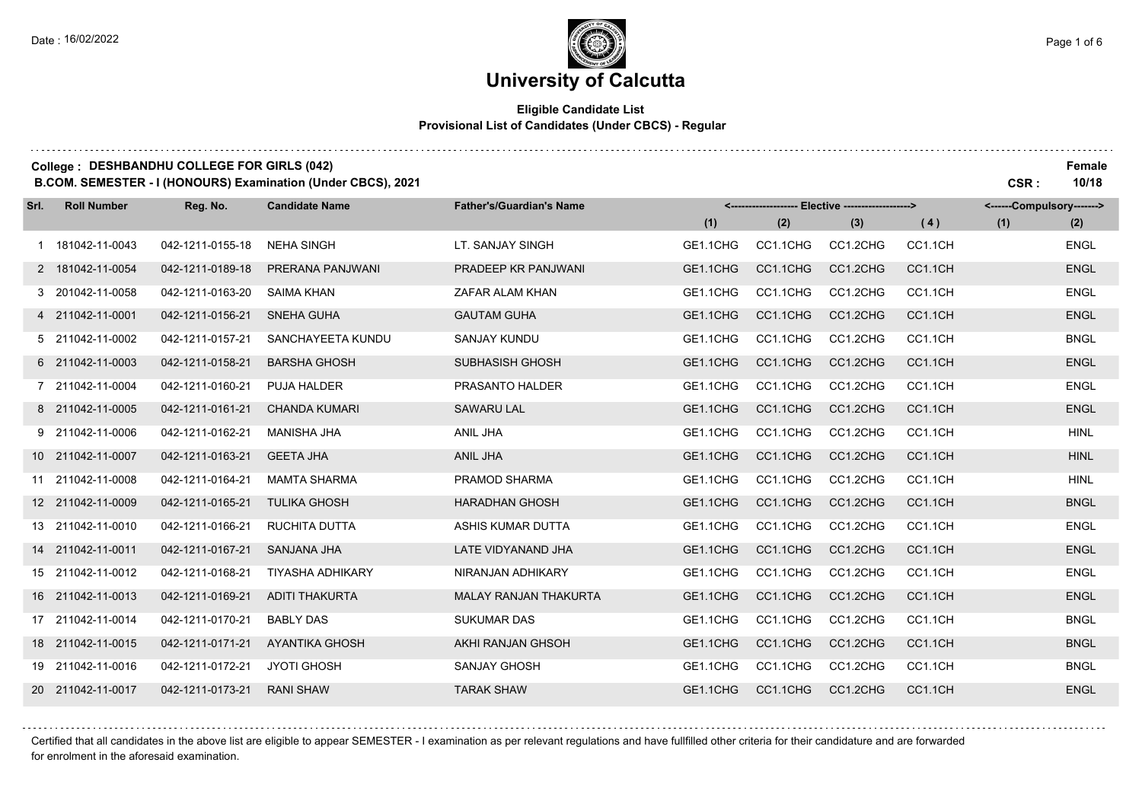### **University of Calcutta**

### **Eligible Candidate List Provisional List of Candidates (Under CBCS) - Regular**

| College: DESHBANDHU COLLEGE FOR GIRLS (042)<br>B.COM. SEMESTER - I (HONOURS) Examination (Under CBCS), 2021<br>CSR: |                    |                                                                                                                 |                         |                              |          |          |                           |         |     |             |  |
|---------------------------------------------------------------------------------------------------------------------|--------------------|-----------------------------------------------------------------------------------------------------------------|-------------------------|------------------------------|----------|----------|---------------------------|---------|-----|-------------|--|
| Srl.                                                                                                                | <b>Roll Number</b> | Reg. No.<br><b>Candidate Name</b><br><b>Father's/Guardian's Name</b><br><b>Elective -------------------&gt;</b> |                         |                              |          |          | <------Compulsory-------> |         |     |             |  |
|                                                                                                                     |                    |                                                                                                                 |                         |                              | (1)      | (2)      | (3)                       | (4)     | (1) | (2)         |  |
|                                                                                                                     | 1 181042-11-0043   | 042-1211-0155-18                                                                                                | <b>NEHA SINGH</b>       | LT. SANJAY SINGH             | GE1.1CHG | CC1.1CHG | CC1.2CHG                  | CC1.1CH |     | <b>ENGL</b> |  |
|                                                                                                                     | 2 181042-11-0054   | 042-1211-0189-18                                                                                                | PRERANA PANJWANI        | PRADEEP KR PANJWANI          | GE1.1CHG | CC1.1CHG | CC1.2CHG                  | CC1.1CH |     | <b>ENGL</b> |  |
|                                                                                                                     | 3 201042-11-0058   | 042-1211-0163-20                                                                                                | <b>SAIMA KHAN</b>       | ZAFAR ALAM KHAN              | GE1.1CHG | CC1.1CHG | CC1.2CHG                  | CC1.1CH |     | <b>ENGL</b> |  |
|                                                                                                                     | 4 211042-11-0001   | 042-1211-0156-21                                                                                                | <b>SNEHA GUHA</b>       | <b>GAUTAM GUHA</b>           | GE1.1CHG | CC1.1CHG | CC1.2CHG                  | CC1.1CH |     | <b>ENGL</b> |  |
|                                                                                                                     | 5 211042-11-0002   | 042-1211-0157-21                                                                                                | SANCHAYEETA KUNDU       | <b>SANJAY KUNDU</b>          | GE1.1CHG | CC1.1CHG | CC1.2CHG                  | CC1.1CH |     | <b>BNGL</b> |  |
|                                                                                                                     | 6 211042-11-0003   | 042-1211-0158-21                                                                                                | <b>BARSHA GHOSH</b>     | SUBHASISH GHOSH              | GE1.1CHG | CC1.1CHG | CC1.2CHG                  | CC1.1CH |     | <b>ENGL</b> |  |
|                                                                                                                     | 7 211042-11-0004   | 042-1211-0160-21                                                                                                | PUJA HALDER             | PRASANTO HALDER              | GE1.1CHG | CC1.1CHG | CC1.2CHG                  | CC1.1CH |     | <b>ENGL</b> |  |
|                                                                                                                     | 8 211042-11-0005   | 042-1211-0161-21                                                                                                | <b>CHANDA KUMARI</b>    | <b>SAWARU LAL</b>            | GE1.1CHG | CC1.1CHG | CC1.2CHG                  | CC1.1CH |     | <b>ENGL</b> |  |
|                                                                                                                     | 9 211042-11-0006   | 042-1211-0162-21                                                                                                | <b>MANISHA JHA</b>      | ANIL JHA                     | GE1.1CHG | CC1.1CHG | CC1.2CHG                  | CC1.1CH |     | <b>HINL</b> |  |
|                                                                                                                     | 10 211042-11-0007  | 042-1211-0163-21                                                                                                | <b>GEETA JHA</b>        | <b>ANIL JHA</b>              | GE1.1CHG | CC1.1CHG | CC1.2CHG                  | CC1.1CH |     | <b>HINL</b> |  |
|                                                                                                                     | 11 211042-11-0008  | 042-1211-0164-21                                                                                                | <b>MAMTA SHARMA</b>     | PRAMOD SHARMA                | GE1.1CHG | CC1.1CHG | CC1.2CHG                  | CC1.1CH |     | <b>HINL</b> |  |
|                                                                                                                     | 12 211042-11-0009  | 042-1211-0165-21                                                                                                | <b>TULIKA GHOSH</b>     | <b>HARADHAN GHOSH</b>        | GE1.1CHG | CC1.1CHG | CC1.2CHG                  | CC1.1CH |     | <b>BNGL</b> |  |
|                                                                                                                     | 13 211042-11-0010  | 042-1211-0166-21                                                                                                | RUCHITA DUTTA           | ASHIS KUMAR DUTTA            | GE1.1CHG | CC1.1CHG | CC1.2CHG                  | CC1.1CH |     | <b>ENGL</b> |  |
|                                                                                                                     | 14 211042-11-0011  | 042-1211-0167-21                                                                                                | SANJANA JHA             | LATE VIDYANAND JHA           | GE1.1CHG | CC1.1CHG | CC1.2CHG                  | CC1.1CH |     | <b>ENGL</b> |  |
|                                                                                                                     | 15 211042-11-0012  | 042-1211-0168-21                                                                                                | <b>TIYASHA ADHIKARY</b> | NIRANJAN ADHIKARY            | GE1.1CHG | CC1.1CHG | CC1.2CHG                  | CC1.1CH |     | <b>ENGL</b> |  |
|                                                                                                                     | 16 211042-11-0013  | 042-1211-0169-21                                                                                                | <b>ADITI THAKURTA</b>   | <b>MALAY RANJAN THAKURTA</b> | GE1.1CHG | CC1.1CHG | CC1.2CHG                  | CC1.1CH |     | <b>ENGL</b> |  |
|                                                                                                                     | 17 211042-11-0014  | 042-1211-0170-21                                                                                                | <b>BABLY DAS</b>        | <b>SUKUMAR DAS</b>           | GE1.1CHG | CC1.1CHG | CC1.2CHG                  | CC1.1CH |     | <b>BNGL</b> |  |
|                                                                                                                     | 18 211042-11-0015  | 042-1211-0171-21                                                                                                | <b>AYANTIKA GHOSH</b>   | AKHI RANJAN GHSOH            | GE1.1CHG | CC1.1CHG | CC1.2CHG                  | CC1.1CH |     | <b>BNGL</b> |  |
|                                                                                                                     | 19 211042-11-0016  | 042-1211-0172-21                                                                                                | <b>JYOTI GHOSH</b>      | <b>SANJAY GHOSH</b>          | GE1.1CHG | CC1.1CHG | CC1.2CHG                  | CC1.1CH |     | <b>BNGL</b> |  |
|                                                                                                                     | 20 211042-11-0017  | 042-1211-0173-21                                                                                                | <b>RANI SHAW</b>        | <b>TARAK SHAW</b>            | GE1.1CHG | CC1.1CHG | CC1.2CHG                  | CC1.1CH |     | <b>ENGL</b> |  |

Certified that all candidates in the above list are eligible to appear SEMESTER - I examination as per relevant regulations and have fullfilled other criteria for their candidature and are forwarded

for enrolment in the aforesaid examination.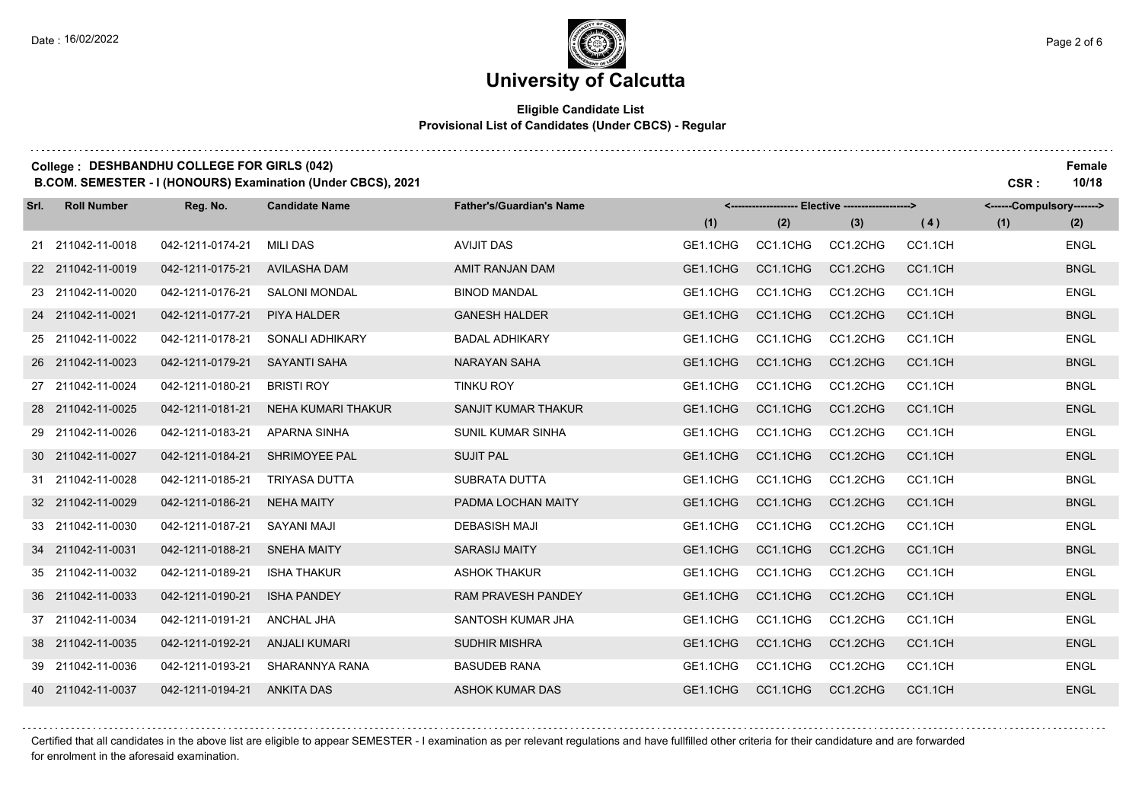### **University of Calcutta**

### **Eligible Candidate List Provisional List of Candidates (Under CBCS) - Regular**

### **College : DESHBANDHU COLLEGE FOR GIRLS (042) Female**

**B.COM. SEMESTER - I (HONOURS) Examination (Under CBCS), 2021 CSR : 10/18**

| Srl. | <b>Roll Number</b> | Reg. No.         | <b>Candidate Name</b> | <b>Father's/Guardian's Name</b> | <-------------------- Elective -------------------> |          | <------Compulsory-------> |         |     |             |
|------|--------------------|------------------|-----------------------|---------------------------------|-----------------------------------------------------|----------|---------------------------|---------|-----|-------------|
|      |                    |                  |                       |                                 | (1)                                                 | (2)      | (3)                       | (4)     | (1) | (2)         |
|      | 21 211042-11-0018  | 042-1211-0174-21 | <b>MILI DAS</b>       | <b>AVIJIT DAS</b>               | GE1.1CHG                                            | CC1.1CHG | CC1.2CHG                  | CC1.1CH |     | <b>ENGL</b> |
|      | 22 211042-11-0019  | 042-1211-0175-21 | <b>AVILASHA DAM</b>   | AMIT RANJAN DAM                 | GE1.1CHG                                            | CC1.1CHG | CC1.2CHG                  | CC1.1CH |     | <b>BNGL</b> |
|      | 23 211042-11-0020  | 042-1211-0176-21 | <b>SALONI MONDAL</b>  | <b>BINOD MANDAL</b>             | GE1.1CHG                                            | CC1.1CHG | CC1.2CHG                  | CC1.1CH |     | <b>ENGL</b> |
|      | 24 211042-11-0021  | 042-1211-0177-21 | PIYA HALDER           | <b>GANESH HALDER</b>            | GE1.1CHG                                            | CC1.1CHG | CC1.2CHG                  | CC1.1CH |     | <b>BNGL</b> |
|      | 25 211042-11-0022  | 042-1211-0178-21 | SONALI ADHIKARY       | <b>BADAL ADHIKARY</b>           | GE1.1CHG                                            | CC1.1CHG | CC1.2CHG                  | CC1.1CH |     | <b>ENGL</b> |
|      | 26 211042-11-0023  | 042-1211-0179-21 | <b>SAYANTI SAHA</b>   | NARAYAN SAHA                    | GE1.1CHG                                            | CC1.1CHG | CC1.2CHG                  | CC1.1CH |     | <b>BNGL</b> |
|      | 27 211042-11-0024  | 042-1211-0180-21 | <b>BRISTI ROY</b>     | <b>TINKU ROY</b>                | GE1.1CHG                                            | CC1.1CHG | CC1.2CHG                  | CC1.1CH |     | <b>BNGL</b> |
|      | 28 211042-11-0025  | 042-1211-0181-21 | NEHA KUMARI THAKUR    | SANJIT KUMAR THAKUR             | GE1.1CHG                                            | CC1.1CHG | CC1.2CHG                  | CC1.1CH |     | <b>ENGL</b> |
|      | 29 211042-11-0026  | 042-1211-0183-21 | APARNA SINHA          | <b>SUNIL KUMAR SINHA</b>        | GE1.1CHG                                            | CC1.1CHG | CC1.2CHG                  | CC1.1CH |     | <b>ENGL</b> |
|      | 30 211042-11-0027  | 042-1211-0184-21 | <b>SHRIMOYEE PAL</b>  | <b>SUJIT PAL</b>                | GE1.1CHG                                            | CC1.1CHG | CC1.2CHG                  | CC1.1CH |     | <b>ENGL</b> |
|      | 31 211042-11-0028  | 042-1211-0185-21 | <b>TRIYASA DUTTA</b>  | SUBRATA DUTTA                   | GE1.1CHG                                            | CC1.1CHG | CC1.2CHG                  | CC1.1CH |     | <b>BNGL</b> |
|      | 32 211042-11-0029  | 042-1211-0186-21 | <b>NEHA MAITY</b>     | PADMA LOCHAN MAITY              | GE1.1CHG                                            | CC1.1CHG | CC1.2CHG                  | CC1.1CH |     | <b>BNGL</b> |
|      | 33 211042-11-0030  | 042-1211-0187-21 | <b>SAYANI MAJI</b>    | <b>DEBASISH MAJI</b>            | GE1.1CHG                                            | CC1.1CHG | CC1.2CHG                  | CC1.1CH |     | <b>ENGL</b> |
|      | 34 211042-11-0031  | 042-1211-0188-21 | <b>SNEHA MAITY</b>    | <b>SARASIJ MAITY</b>            | GE1.1CHG                                            | CC1.1CHG | CC1.2CHG                  | CC1.1CH |     | <b>BNGL</b> |
|      | 35 211042-11-0032  | 042-1211-0189-21 | <b>ISHA THAKUR</b>    | <b>ASHOK THAKUR</b>             | GE1.1CHG                                            | CC1.1CHG | CC1.2CHG                  | CC1.1CH |     | <b>ENGL</b> |
|      | 36 211042-11-0033  | 042-1211-0190-21 | <b>ISHA PANDEY</b>    | RAM PRAVESH PANDEY              | GE1.1CHG                                            | CC1.1CHG | CC1.2CHG                  | CC1.1CH |     | <b>ENGL</b> |
|      | 37 211042-11-0034  | 042-1211-0191-21 | ANCHAL JHA            | SANTOSH KUMAR JHA               | GE1.1CHG                                            | CC1.1CHG | CC1.2CHG                  | CC1.1CH |     | <b>ENGL</b> |
|      | 38 211042-11-0035  | 042-1211-0192-21 | <b>ANJALI KUMARI</b>  | <b>SUDHIR MISHRA</b>            | GE1.1CHG                                            | CC1.1CHG | CC1.2CHG                  | CC1.1CH |     | <b>ENGL</b> |
|      | 39 211042-11-0036  | 042-1211-0193-21 | SHARANNYA RANA        | <b>BASUDEB RANA</b>             | GE1.1CHG                                            | CC1.1CHG | CC1.2CHG                  | CC1.1CH |     | <b>ENGL</b> |
|      | 40 211042-11-0037  | 042-1211-0194-21 | <b>ANKITA DAS</b>     | <b>ASHOK KUMAR DAS</b>          | GE1.1CHG                                            | CC1.1CHG | CC1.2CHG                  | CC1.1CH |     | <b>ENGL</b> |

Certified that all candidates in the above list are eligible to appear SEMESTER - I examination as per relevant regulations and have fullfilled other criteria for their candidature and are forwarded for enrolment in the aforesaid examination.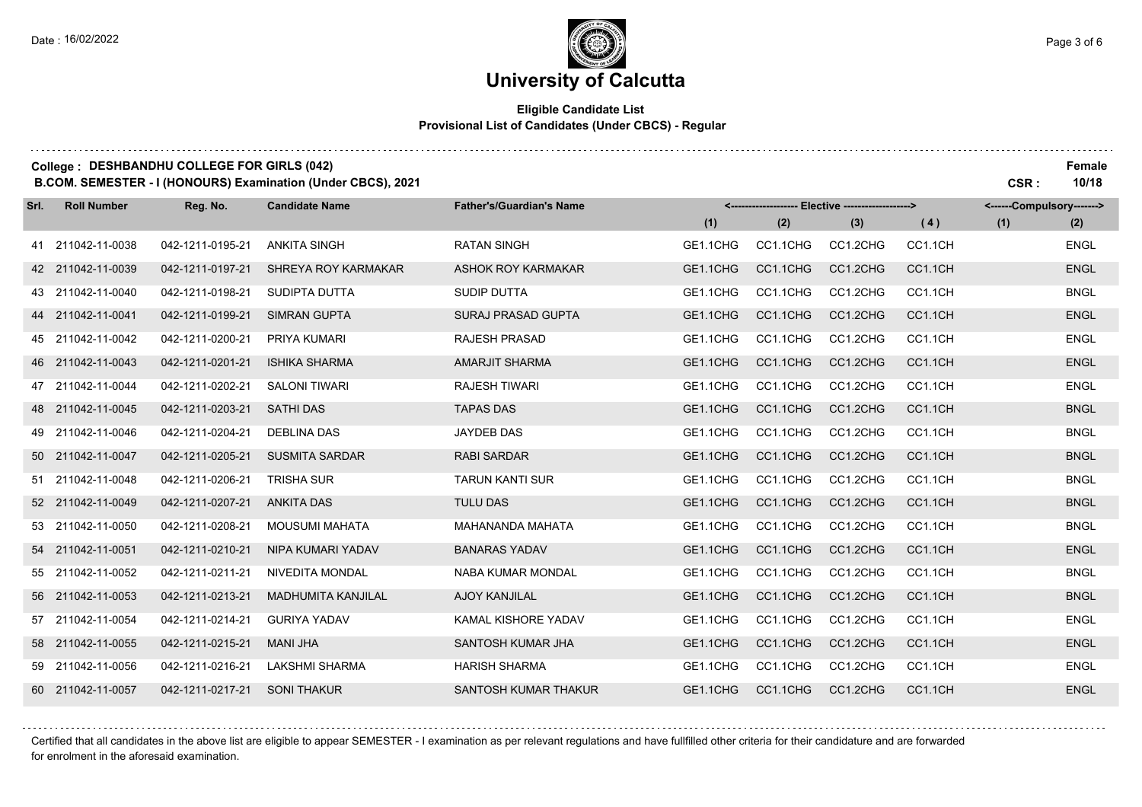## **University of Calcutta**

### **Eligible Candidate List Provisional List of Candidates (Under CBCS) - Regular**

| College: DESHBANDHU COLLEGE FOR GIRLS (042)<br>B.COM. SEMESTER - I (HONOURS) Examination (Under CBCS), 2021<br>CSR: |                    |                  |                           |                                 |                                                   |          |          |         |                           |             |
|---------------------------------------------------------------------------------------------------------------------|--------------------|------------------|---------------------------|---------------------------------|---------------------------------------------------|----------|----------|---------|---------------------------|-------------|
| Srl.                                                                                                                | <b>Roll Number</b> | Reg. No.         | <b>Candidate Name</b>     | <b>Father's/Guardian's Name</b> | <------------------- Elective ------------------> |          |          |         | <------Compulsory-------> |             |
|                                                                                                                     |                    |                  |                           |                                 | (1)                                               | (2)      | (3)      | (4)     | (1)                       | (2)         |
|                                                                                                                     | 41 211042-11-0038  | 042-1211-0195-21 | <b>ANKITA SINGH</b>       | <b>RATAN SINGH</b>              | GE1.1CHG                                          | CC1.1CHG | CC1.2CHG | CC1.1CH |                           | <b>ENGL</b> |
|                                                                                                                     | 42 211042-11-0039  | 042-1211-0197-21 | SHREYA ROY KARMAKAR       | ASHOK ROY KARMAKAR              | GE1.1CHG                                          | CC1.1CHG | CC1.2CHG | CC1.1CH |                           | <b>ENGL</b> |
|                                                                                                                     | 43 211042-11-0040  | 042-1211-0198-21 | SUDIPTA DUTTA             | <b>SUDIP DUTTA</b>              | GE1.1CHG                                          | CC1.1CHG | CC1.2CHG | CC1.1CH |                           | <b>BNGL</b> |
|                                                                                                                     | 44 211042-11-0041  | 042-1211-0199-21 | <b>SIMRAN GUPTA</b>       | SURAJ PRASAD GUPTA              | GE1.1CHG                                          | CC1.1CHG | CC1.2CHG | CC1.1CH |                           | <b>ENGL</b> |
|                                                                                                                     | 45 211042-11-0042  | 042-1211-0200-21 | PRIYA KUMARI              | <b>RAJESH PRASAD</b>            | GE1.1CHG                                          | CC1.1CHG | CC1.2CHG | CC1.1CH |                           | <b>ENGL</b> |
|                                                                                                                     | 46 211042-11-0043  | 042-1211-0201-21 | <b>ISHIKA SHARMA</b>      | AMARJIT SHARMA                  | GE1.1CHG                                          | CC1.1CHG | CC1.2CHG | CC1.1CH |                           | <b>ENGL</b> |
|                                                                                                                     | 47 211042-11-0044  | 042-1211-0202-21 | <b>SALONI TIWARI</b>      | <b>RAJESH TIWARI</b>            | GE1.1CHG                                          | CC1.1CHG | CC1.2CHG | CC1.1CH |                           | <b>ENGL</b> |
| 48                                                                                                                  | 211042-11-0045     | 042-1211-0203-21 | <b>SATHI DAS</b>          | <b>TAPAS DAS</b>                | GE1.1CHG                                          | CC1.1CHG | CC1.2CHG | CC1.1CH |                           | <b>BNGL</b> |
| 49                                                                                                                  | 211042-11-0046     | 042-1211-0204-21 | <b>DEBLINA DAS</b>        | <b>JAYDEB DAS</b>               | GE1.1CHG                                          | CC1.1CHG | CC1.2CHG | CC1.1CH |                           | <b>BNGL</b> |
|                                                                                                                     | 50 211042-11-0047  | 042-1211-0205-21 | <b>SUSMITA SARDAR</b>     | <b>RABI SARDAR</b>              | GE1.1CHG                                          | CC1.1CHG | CC1.2CHG | CC1.1CH |                           | <b>BNGL</b> |
|                                                                                                                     | 51 211042-11-0048  | 042-1211-0206-21 | <b>TRISHA SUR</b>         | <b>TARUN KANTI SUR</b>          | GE1.1CHG                                          | CC1.1CHG | CC1.2CHG | CC1.1CH |                           | <b>BNGL</b> |
|                                                                                                                     | 52 211042-11-0049  | 042-1211-0207-21 | <b>ANKITA DAS</b>         | <b>TULU DAS</b>                 | GE1.1CHG                                          | CC1.1CHG | CC1.2CHG | CC1.1CH |                           | <b>BNGL</b> |
|                                                                                                                     | 53 211042-11-0050  | 042-1211-0208-21 | <b>MOUSUMI MAHATA</b>     | MAHANANDA MAHATA                | GE1.1CHG                                          | CC1.1CHG | CC1.2CHG | CC1.1CH |                           | <b>BNGL</b> |
|                                                                                                                     | 54 211042-11-0051  | 042-1211-0210-21 | NIPA KUMARI YADAV         | <b>BANARAS YADAV</b>            | GE1.1CHG                                          | CC1.1CHG | CC1.2CHG | CC1.1CH |                           | <b>ENGL</b> |
|                                                                                                                     | 55 211042-11-0052  | 042-1211-0211-21 | <b>NIVEDITA MONDAL</b>    | <b>NABA KUMAR MONDAL</b>        | GE1.1CHG                                          | CC1.1CHG | CC1.2CHG | CC1.1CH |                           | <b>BNGL</b> |
|                                                                                                                     | 56 211042-11-0053  | 042-1211-0213-21 | <b>MADHUMITA KANJILAL</b> | <b>AJOY KANJILAL</b>            | GE1.1CHG                                          | CC1.1CHG | CC1.2CHG | CC1.1CH |                           | <b>BNGL</b> |
|                                                                                                                     | 57 211042-11-0054  | 042-1211-0214-21 | <b>GURIYA YADAV</b>       | KAMAL KISHORE YADAV             | GE1.1CHG                                          | CC1.1CHG | CC1.2CHG | CC1.1CH |                           | <b>ENGL</b> |
|                                                                                                                     | 58 211042-11-0055  | 042-1211-0215-21 | <b>MANI JHA</b>           | SANTOSH KUMAR JHA               | GE1.1CHG                                          | CC1.1CHG | CC1.2CHG | CC1.1CH |                           | <b>ENGL</b> |
|                                                                                                                     | 59 211042-11-0056  | 042-1211-0216-21 | <b>LAKSHMI SHARMA</b>     | <b>HARISH SHARMA</b>            | GE1.1CHG                                          | CC1.1CHG | CC1.2CHG | CC1.1CH |                           | <b>ENGL</b> |
|                                                                                                                     | 60 211042-11-0057  | 042-1211-0217-21 | <b>SONI THAKUR</b>        | SANTOSH KUMAR THAKUR            | GE1.1CHG                                          | CC1.1CHG | CC1.2CHG | CC1.1CH |                           | <b>ENGL</b> |

Certified that all candidates in the above list are eligible to appear SEMESTER - I examination as per relevant regulations and have fullfilled other criteria for their candidature and are forwarded

for enrolment in the aforesaid examination.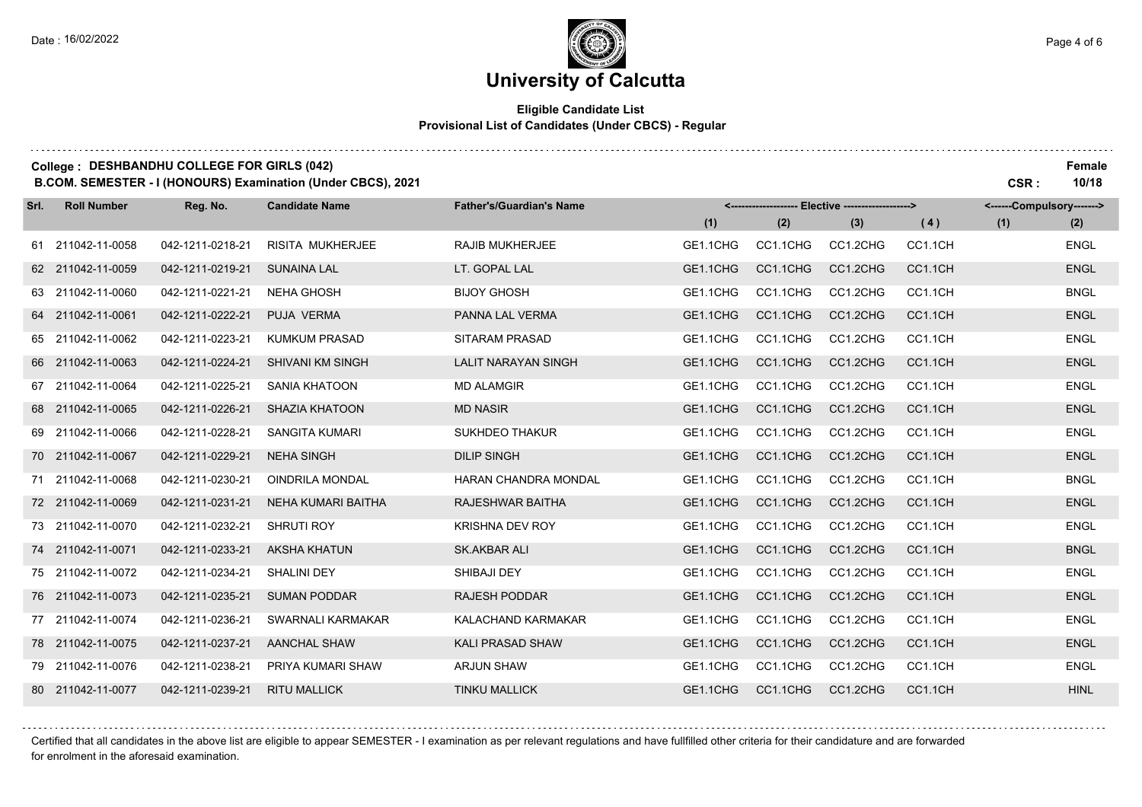$1.1.1.1.1.1$ 

### **University of Calcutta**

### **Eligible Candidate List Provisional List of Candidates (Under CBCS) - Regular**

| College: DESHBANDHU COLLEGE FOR GIRLS (042)<br>B.COM. SEMESTER - I (HONOURS) Examination (Under CBCS), 2021<br>CSR: |                    |                  |                         |                                 |          |                                                   |          |         |                           |             |
|---------------------------------------------------------------------------------------------------------------------|--------------------|------------------|-------------------------|---------------------------------|----------|---------------------------------------------------|----------|---------|---------------------------|-------------|
| Srl.                                                                                                                | <b>Roll Number</b> | Reg. No.         | <b>Candidate Name</b>   | <b>Father's/Guardian's Name</b> |          | <------------------- Elective ------------------> |          |         | <------Compulsory-------> |             |
|                                                                                                                     |                    |                  |                         |                                 | (1)      | (2)                                               | (3)      | (4)     | (1)                       | (2)         |
|                                                                                                                     | 61 211042-11-0058  | 042-1211-0218-21 | RISITA MUKHERJEE        | <b>RAJIB MUKHERJEE</b>          | GE1.1CHG | CC1.1CHG                                          | CC1.2CHG | CC1.1CH |                           | <b>ENGL</b> |
|                                                                                                                     | 62 211042-11-0059  | 042-1211-0219-21 | <b>SUNAINA LAL</b>      | LT. GOPAL LAL                   | GE1.1CHG | CC1.1CHG                                          | CC1.2CHG | CC1.1CH |                           | <b>ENGL</b> |
|                                                                                                                     | 63 211042-11-0060  | 042-1211-0221-21 | <b>NEHA GHOSH</b>       | <b>BIJOY GHOSH</b>              | GE1.1CHG | CC1.1CHG                                          | CC1.2CHG | CC1.1CH |                           | <b>BNGL</b> |
|                                                                                                                     | 64 211042-11-0061  | 042-1211-0222-21 | PUJA VERMA              | PANNA LAL VERMA                 | GE1.1CHG | CC1.1CHG                                          | CC1.2CHG | CC1.1CH |                           | <b>ENGL</b> |
|                                                                                                                     | 65 211042-11-0062  | 042-1211-0223-21 | <b>KUMKUM PRASAD</b>    | <b>SITARAM PRASAD</b>           | GE1.1CHG | CC1.1CHG                                          | CC1.2CHG | CC1.1CH |                           | <b>ENGL</b> |
|                                                                                                                     | 66 211042-11-0063  | 042-1211-0224-21 | <b>SHIVANI KM SINGH</b> | <b>LALIT NARAYAN SINGH</b>      | GE1.1CHG | CC1.1CHG                                          | CC1.2CHG | CC1.1CH |                           | <b>ENGL</b> |
|                                                                                                                     | 67 211042-11-0064  | 042-1211-0225-21 | <b>SANIA KHATOON</b>    | <b>MD ALAMGIR</b>               | GE1.1CHG | CC1.1CHG                                          | CC1.2CHG | CC1.1CH |                           | <b>ENGL</b> |
|                                                                                                                     | 68 211042-11-0065  | 042-1211-0226-21 | <b>SHAZIA KHATOON</b>   | <b>MD NASIR</b>                 | GE1.1CHG | CC1.1CHG                                          | CC1.2CHG | CC1.1CH |                           | <b>ENGL</b> |
|                                                                                                                     | 69 211042-11-0066  | 042-1211-0228-21 | <b>SANGITA KUMARI</b>   | <b>SUKHDEO THAKUR</b>           | GE1.1CHG | CC1.1CHG                                          | CC1.2CHG | CC1.1CH |                           | <b>ENGL</b> |
|                                                                                                                     | 70 211042-11-0067  | 042-1211-0229-21 | <b>NEHA SINGH</b>       | <b>DILIP SINGH</b>              | GE1.1CHG | CC1.1CHG                                          | CC1.2CHG | CC1.1CH |                           | <b>ENGL</b> |
|                                                                                                                     | 71 211042-11-0068  | 042-1211-0230-21 | <b>OINDRILA MONDAL</b>  | <b>HARAN CHANDRA MONDAL</b>     | GE1.1CHG | CC1.1CHG                                          | CC1.2CHG | CC1.1CH |                           | <b>BNGL</b> |
|                                                                                                                     | 72 211042-11-0069  | 042-1211-0231-21 | NEHA KUMARI BAITHA      | RAJESHWAR BAITHA                | GE1.1CHG | CC1.1CHG                                          | CC1.2CHG | CC1.1CH |                           | <b>ENGL</b> |
|                                                                                                                     | 73 211042-11-0070  | 042-1211-0232-21 | <b>SHRUTI ROY</b>       | <b>KRISHNA DEV ROY</b>          | GE1.1CHG | CC1.1CHG                                          | CC1.2CHG | CC1.1CH |                           | <b>ENGL</b> |
|                                                                                                                     | 74 211042-11-0071  | 042-1211-0233-21 | <b>AKSHA KHATUN</b>     | SK.AKBAR ALI                    | GE1.1CHG | CC1.1CHG                                          | CC1.2CHG | CC1.1CH |                           | <b>BNGL</b> |
|                                                                                                                     | 75 211042-11-0072  | 042-1211-0234-21 | <b>SHALINI DEY</b>      | SHIBAJI DEY                     | GE1.1CHG | CC1.1CHG                                          | CC1.2CHG | CC1.1CH |                           | <b>ENGL</b> |
|                                                                                                                     | 76 211042-11-0073  | 042-1211-0235-21 | <b>SUMAN PODDAR</b>     | <b>RAJESH PODDAR</b>            | GE1.1CHG | CC1.1CHG                                          | CC1.2CHG | CC1.1CH |                           | <b>ENGL</b> |
|                                                                                                                     | 77 211042-11-0074  | 042-1211-0236-21 | SWARNALI KARMAKAR       | KALACHAND KARMAKAR              | GE1.1CHG | CC1.1CHG                                          | CC1.2CHG | CC1.1CH |                           | <b>ENGL</b> |
|                                                                                                                     | 78 211042-11-0075  | 042-1211-0237-21 | <b>AANCHAL SHAW</b>     | <b>KALI PRASAD SHAW</b>         | GE1.1CHG | CC1.1CHG                                          | CC1.2CHG | CC1.1CH |                           | <b>ENGL</b> |
|                                                                                                                     | 79 211042-11-0076  | 042-1211-0238-21 | PRIYA KUMARI SHAW       | <b>ARJUN SHAW</b>               | GE1.1CHG | CC1.1CHG                                          | CC1.2CHG | CC1.1CH |                           | <b>ENGL</b> |
|                                                                                                                     | 80 211042-11-0077  | 042-1211-0239-21 | <b>RITU MALLICK</b>     | <b>TINKU MALLICK</b>            | GE1.1CHG | CC1.1CHG                                          | CC1.2CHG | CC1.1CH |                           | <b>HINL</b> |

Certified that all candidates in the above list are eligible to appear SEMESTER - I examination as per relevant regulations and have fullfilled other criteria for their candidature and are forwarded for enrolment in the aforesaid examination.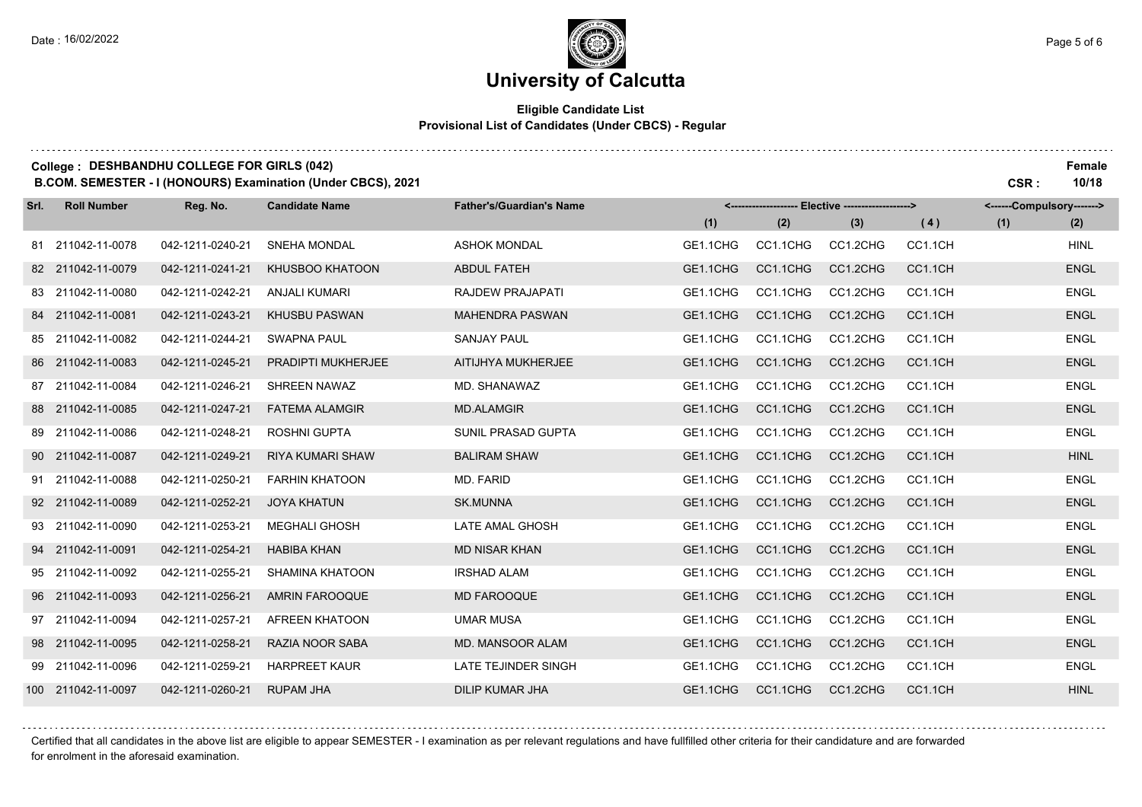### **University of Calcutta**

### **Eligible Candidate List Provisional List of Candidates (Under CBCS) - Regular**

|      | College: DESHBANDHU COLLEGE FOR GIRLS (042)<br>B.COM. SEMESTER - I (HONOURS) Examination (Under CBCS), 2021 |                  |                         |                                 |                                                   |          |          |         |                           |             |
|------|-------------------------------------------------------------------------------------------------------------|------------------|-------------------------|---------------------------------|---------------------------------------------------|----------|----------|---------|---------------------------|-------------|
| Srl. | <b>Roll Number</b>                                                                                          | Reg. No.         | <b>Candidate Name</b>   | <b>Father's/Guardian's Name</b> | <------------------- Elective ------------------> |          |          |         | <------Compulsory-------> |             |
|      |                                                                                                             |                  |                         |                                 | (1)                                               | (2)      | (3)      | (4)     | (1)                       | (2)         |
|      | 81 211042-11-0078                                                                                           | 042-1211-0240-21 | <b>SNEHA MONDAL</b>     | <b>ASHOK MONDAL</b>             | GE1.1CHG                                          | CC1.1CHG | CC1.2CHG | CC1.1CH |                           | <b>HINL</b> |
|      | 82 211042-11-0079                                                                                           | 042-1211-0241-21 | KHUSBOO KHATOON         | <b>ABDUL FATEH</b>              | GE1.1CHG                                          | CC1.1CHG | CC1.2CHG | CC1.1CH |                           | <b>ENGL</b> |
|      | 83 211042-11-0080                                                                                           | 042-1211-0242-21 | ANJALI KUMARI           | <b>RAJDEW PRAJAPATI</b>         | GE1.1CHG                                          | CC1.1CHG | CC1.2CHG | CC1.1CH |                           | <b>ENGL</b> |
|      | 84 211042-11-0081                                                                                           | 042-1211-0243-21 | <b>KHUSBU PASWAN</b>    | <b>MAHENDRA PASWAN</b>          | GE1.1CHG                                          | CC1.1CHG | CC1.2CHG | CC1.1CH |                           | <b>ENGL</b> |
|      | 85 211042-11-0082                                                                                           | 042-1211-0244-21 | <b>SWAPNA PAUL</b>      | <b>SANJAY PAUL</b>              | GE1.1CHG                                          | CC1.1CHG | CC1.2CHG | CC1.1CH |                           | <b>ENGL</b> |
|      | 86 211042-11-0083                                                                                           | 042-1211-0245-21 | PRADIPTI MUKHERJEE      | AITIJHYA MUKHERJEE              | GE1.1CHG                                          | CC1.1CHG | CC1.2CHG | CC1.1CH |                           | <b>ENGL</b> |
|      | 87 211042-11-0084                                                                                           | 042-1211-0246-21 | <b>SHREEN NAWAZ</b>     | MD. SHANAWAZ                    | GE1.1CHG                                          | CC1.1CHG | CC1.2CHG | CC1.1CH |                           | <b>ENGL</b> |
|      | 88 211042-11-0085                                                                                           | 042-1211-0247-21 | <b>FATEMA ALAMGIR</b>   | <b>MD.ALAMGIR</b>               | GE1.1CHG                                          | CC1.1CHG | CC1.2CHG | CC1.1CH |                           | <b>ENGL</b> |
|      | 89 211042-11-0086                                                                                           | 042-1211-0248-21 | <b>ROSHNI GUPTA</b>     | <b>SUNIL PRASAD GUPTA</b>       | GE1.1CHG                                          | CC1.1CHG | CC1.2CHG | CC1.1CH |                           | <b>ENGL</b> |
|      | 90 211042-11-0087                                                                                           | 042-1211-0249-21 | <b>RIYA KUMARI SHAW</b> | <b>BALIRAM SHAW</b>             | GE1.1CHG                                          | CC1.1CHG | CC1.2CHG | CC1.1CH |                           | <b>HINL</b> |
|      | 91 211042-11-0088                                                                                           | 042-1211-0250-21 | <b>FARHIN KHATOON</b>   | MD. FARID                       | GE1.1CHG                                          | CC1.1CHG | CC1.2CHG | CC1.1CH |                           | <b>ENGL</b> |
|      | 92 211042-11-0089                                                                                           | 042-1211-0252-21 | <b>JOYA KHATUN</b>      | <b>SK.MUNNA</b>                 | GE1.1CHG                                          | CC1.1CHG | CC1.2CHG | CC1.1CH |                           | <b>ENGL</b> |
|      | 93 211042-11-0090                                                                                           | 042-1211-0253-21 | <b>MEGHALI GHOSH</b>    | LATE AMAL GHOSH                 | GE1.1CHG                                          | CC1.1CHG | CC1.2CHG | CC1.1CH |                           | <b>ENGL</b> |
|      | 94 211042-11-0091                                                                                           | 042-1211-0254-21 | <b>HABIBA KHAN</b>      | <b>MD NISAR KHAN</b>            | GE1.1CHG                                          | CC1.1CHG | CC1.2CHG | CC1.1CH |                           | <b>ENGL</b> |
|      | 95 211042-11-0092                                                                                           | 042-1211-0255-21 | SHAMINA KHATOON         | <b>IRSHAD ALAM</b>              | GE1.1CHG                                          | CC1.1CHG | CC1.2CHG | CC1.1CH |                           | <b>ENGL</b> |
|      | 96 211042-11-0093                                                                                           | 042-1211-0256-21 | <b>AMRIN FAROOQUE</b>   | <b>MD FAROOQUE</b>              | GE1.1CHG                                          | CC1.1CHG | CC1.2CHG | CC1.1CH |                           | <b>ENGL</b> |
|      | 97 211042-11-0094                                                                                           | 042-1211-0257-21 | <b>AFREEN KHATOON</b>   | <b>UMAR MUSA</b>                | GE1.1CHG                                          | CC1.1CHG | CC1.2CHG | CC1.1CH |                           | <b>ENGL</b> |
|      | 98 211042-11-0095                                                                                           | 042-1211-0258-21 | RAZIA NOOR SABA         | <b>MD. MANSOOR ALAM</b>         | GE1.1CHG                                          | CC1.1CHG | CC1.2CHG | CC1.1CH |                           | <b>ENGL</b> |
|      | 99 211042-11-0096                                                                                           | 042-1211-0259-21 | <b>HARPREET KAUR</b>    | <b>LATE TEJINDER SINGH</b>      | GE1.1CHG                                          | CC1.1CHG | CC1.2CHG | CC1.1CH |                           | <b>ENGL</b> |
|      | 100 211042-11-0097                                                                                          | 042-1211-0260-21 | <b>RUPAM JHA</b>        | <b>DILIP KUMAR JHA</b>          | GE1.1CHG                                          | CC1.1CHG | CC1.2CHG | CC1.1CH |                           | <b>HINL</b> |

Certified that all candidates in the above list are eligible to appear SEMESTER - I examination as per relevant regulations and have fullfilled other criteria for their candidature and are forwarded

for enrolment in the aforesaid examination.